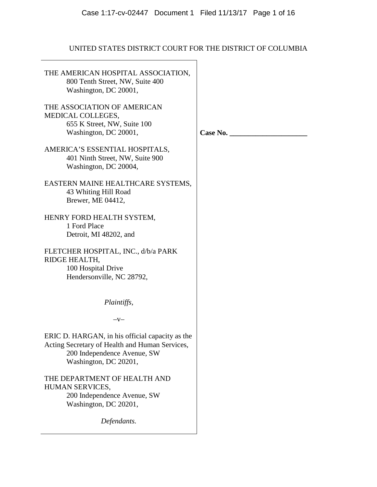# UNITED STATES DISTRICT COURT FOR THE DISTRICT OF COLUMBIA

| THE AMERICAN HOSPITAL ASSOCIATION,<br>800 Tenth Street, NW, Suite 400<br>Washington, DC 20001,                                                            |          |
|-----------------------------------------------------------------------------------------------------------------------------------------------------------|----------|
| THE ASSOCIATION OF AMERICAN<br>MEDICAL COLLEGES,<br>655 K Street, NW, Suite 100<br>Washington, DC 20001,                                                  | Case No. |
| AMERICA'S ESSENTIAL HOSPITALS,<br>401 Ninth Street, NW, Suite 900<br>Washington, DC 20004,                                                                |          |
| EASTERN MAINE HEALTHCARE SYSTEMS,<br>43 Whiting Hill Road<br>Brewer, ME 04412,                                                                            |          |
| HENRY FORD HEALTH SYSTEM,<br>1 Ford Place<br>Detroit, MI 48202, and                                                                                       |          |
| FLETCHER HOSPITAL, INC., d/b/a PARK<br>RIDGE HEALTH,<br>100 Hospital Drive<br>Hendersonville, NC 28792,                                                   |          |
| Plaintiffs,                                                                                                                                               |          |
| $-V-$                                                                                                                                                     |          |
| ERIC D. HARGAN, in his official capacity as the<br>Acting Secretary of Health and Human Services,<br>200 Independence Avenue, SW<br>Washington, DC 20201, |          |
| THE DEPARTMENT OF HEALTH AND<br>HUMAN SERVICES,<br>200 Independence Avenue, SW<br>Washington, DC 20201,                                                   |          |
| Defendants.                                                                                                                                               |          |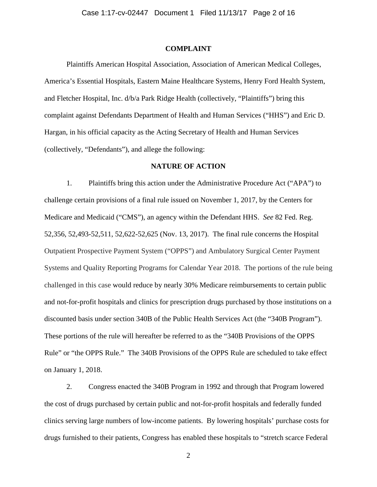### **COMPLAINT**

Plaintiffs American Hospital Association, Association of American Medical Colleges, America's Essential Hospitals, Eastern Maine Healthcare Systems, Henry Ford Health System, and Fletcher Hospital, Inc. d/b/a Park Ridge Health (collectively, "Plaintiffs") bring this complaint against Defendants Department of Health and Human Services ("HHS") and Eric D. Hargan, in his official capacity as the Acting Secretary of Health and Human Services (collectively, "Defendants"), and allege the following:

### **NATURE OF ACTION**

1. Plaintiffs bring this action under the Administrative Procedure Act ("APA") to challenge certain provisions of a final rule issued on November 1, 2017, by the Centers for Medicare and Medicaid ("CMS"), an agency within the Defendant HHS. *See* 82 Fed. Reg. 52,356, 52,493-52,511, 52,622-52,625 (Nov. 13, 2017). The final rule concerns the Hospital Outpatient Prospective Payment System ("OPPS") and Ambulatory Surgical Center Payment Systems and Quality Reporting Programs for Calendar Year 2018. The portions of the rule being challenged in this case would reduce by nearly 30% Medicare reimbursements to certain public and not-for-profit hospitals and clinics for prescription drugs purchased by those institutions on a discounted basis under section 340B of the Public Health Services Act (the "340B Program"). These portions of the rule will hereafter be referred to as the "340B Provisions of the OPPS Rule" or "the OPPS Rule." The 340B Provisions of the OPPS Rule are scheduled to take effect on January 1, 2018.

2. Congress enacted the 340B Program in 1992 and through that Program lowered the cost of drugs purchased by certain public and not-for-profit hospitals and federally funded clinics serving large numbers of low-income patients. By lowering hospitals' purchase costs for drugs furnished to their patients, Congress has enabled these hospitals to "stretch scarce Federal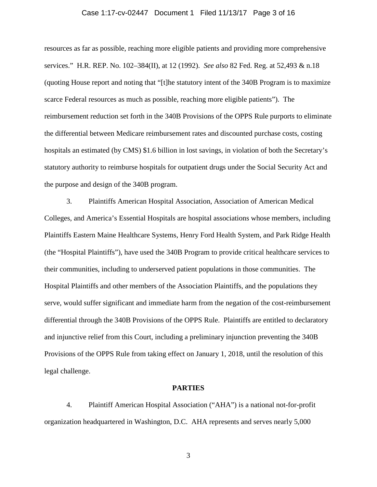#### Case 1:17-cv-02447 Document 1 Filed 11/13/17 Page 3 of 16

resources as far as possible, reaching more eligible patients and providing more comprehensive services." H.R. REP. No. 102–384(II), at 12 (1992). *See also* 82 Fed. Reg. at 52,493 & n.18 (quoting House report and noting that "[t]he statutory intent of the 340B Program is to maximize scarce Federal resources as much as possible, reaching more eligible patients"). The reimbursement reduction set forth in the 340B Provisions of the OPPS Rule purports to eliminate the differential between Medicare reimbursement rates and discounted purchase costs, costing hospitals an estimated (by CMS) \$1.6 billion in lost savings, in violation of both the Secretary's statutory authority to reimburse hospitals for outpatient drugs under the Social Security Act and the purpose and design of the 340B program.

3. Plaintiffs American Hospital Association, Association of American Medical Colleges, and America's Essential Hospitals are hospital associations whose members, including Plaintiffs Eastern Maine Healthcare Systems, Henry Ford Health System, and Park Ridge Health (the "Hospital Plaintiffs"), have used the 340B Program to provide critical healthcare services to their communities, including to underserved patient populations in those communities. The Hospital Plaintiffs and other members of the Association Plaintiffs, and the populations they serve, would suffer significant and immediate harm from the negation of the cost-reimbursement differential through the 340B Provisions of the OPPS Rule. Plaintiffs are entitled to declaratory and injunctive relief from this Court, including a preliminary injunction preventing the 340B Provisions of the OPPS Rule from taking effect on January 1, 2018, until the resolution of this legal challenge.

#### **PARTIES**

4. Plaintiff American Hospital Association ("AHA") is a national not-for-profit organization headquartered in Washington, D.C. AHA represents and serves nearly 5,000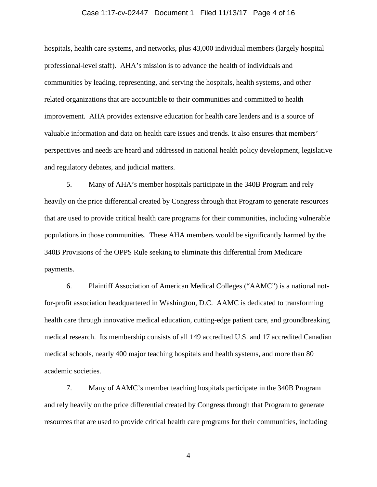#### Case 1:17-cv-02447 Document 1 Filed 11/13/17 Page 4 of 16

hospitals, health care systems, and networks, plus 43,000 individual members (largely hospital professional-level staff). AHA's mission is to advance the health of individuals and communities by leading, representing, and serving the hospitals, health systems, and other related organizations that are accountable to their communities and committed to health improvement. AHA provides extensive education for health care leaders and is a source of valuable information and data on health care issues and trends. It also ensures that members' perspectives and needs are heard and addressed in national health policy development, legislative and regulatory debates, and judicial matters.

5. Many of AHA's member hospitals participate in the 340B Program and rely heavily on the price differential created by Congress through that Program to generate resources that are used to provide critical health care programs for their communities, including vulnerable populations in those communities. These AHA members would be significantly harmed by the 340B Provisions of the OPPS Rule seeking to eliminate this differential from Medicare payments.

6. Plaintiff Association of American Medical Colleges ("AAMC") is a national notfor-profit association headquartered in Washington, D.C. AAMC is dedicated to transforming health care through innovative medical education, cutting-edge patient care, and groundbreaking medical research. Its membership consists of all 149 accredited U.S. and 17 accredited Canadian medical schools, nearly 400 major teaching hospitals and health systems, and more than 80 academic societies.

7. Many of AAMC's member teaching hospitals participate in the 340B Program and rely heavily on the price differential created by Congress through that Program to generate resources that are used to provide critical health care programs for their communities, including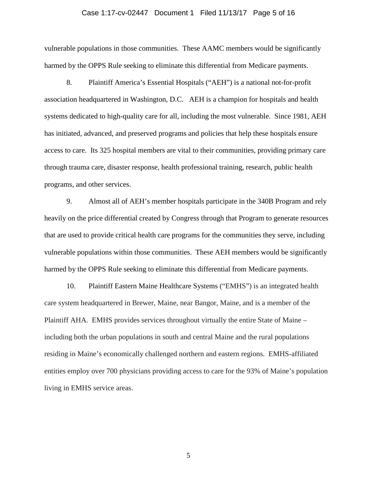### Case 1:17-cv-02447 Document 1 Filed 11/13/17 Page 5 of 16

vulnerable populations in those communities. These AAMC members would be significantly harmed by the OPPS Rule seeking to eliminate this differential from Medicare payments.

8. Plaintiff America's Essential Hospitals ("AEH") is a national not-for-profit association headquartered in Washington, D.C. AEH is a champion for hospitals and health systems dedicated to high-quality care for all, including the most vulnerable. Since 1981, AEH has initiated, advanced, and preserved programs and policies that help these hospitals ensure access to care. Its 325 hospital members are vital to their communities, providing primary care through trauma care, disaster response, health professional training, research, public health programs, and other services.

9. Almost all of AEH's member hospitals participate in the 340B Program and rely heavily on the price differential created by Congress through that Program to generate resources that are used to provide critical health care programs for the communities they serve, including vulnerable populations within those communities. These AEH members would be significantly harmed by the OPPS Rule seeking to eliminate this differential from Medicare payments.

10. Plaintiff Eastern Maine Healthcare Systems ("EMHS") is an integrated health care system headquartered in Brewer, Maine, near Bangor, Maine, and is a member of the Plaintiff AHA. EMHS provides services throughout virtually the entire State of Maine – including both the urban populations in south and central Maine and the rural populations residing in Maine's economically challenged northern and eastern regions. EMHS-affiliated entities employ over 700 physicians providing access to care for the 93% of Maine's population living in EMHS service areas.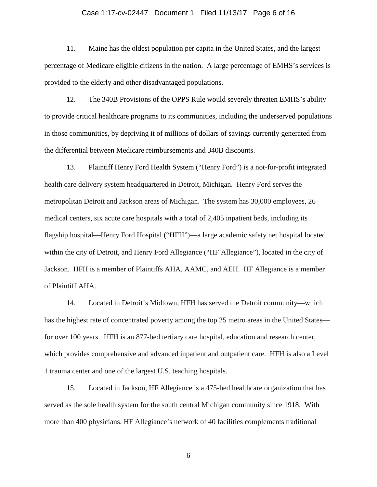#### Case 1:17-cv-02447 Document 1 Filed 11/13/17 Page 6 of 16

11. Maine has the oldest population per capita in the United States, and the largest percentage of Medicare eligible citizens in the nation. A large percentage of EMHS's services is provided to the elderly and other disadvantaged populations.

12. The 340B Provisions of the OPPS Rule would severely threaten EMHS's ability to provide critical healthcare programs to its communities, including the underserved populations in those communities, by depriving it of millions of dollars of savings currently generated from the differential between Medicare reimbursements and 340B discounts.

13. Plaintiff Henry Ford Health System ("Henry Ford") is a not-for-profit integrated health care delivery system headquartered in Detroit, Michigan. Henry Ford serves the metropolitan Detroit and Jackson areas of Michigan. The system has 30,000 employees, 26 medical centers, six acute care hospitals with a total of 2,405 inpatient beds, including its flagship hospital—Henry Ford Hospital ("HFH")—a large academic safety net hospital located within the city of Detroit, and Henry Ford Allegiance ("HF Allegiance"), located in the city of Jackson. HFH is a member of Plaintiffs AHA, AAMC, and AEH. HF Allegiance is a member of Plaintiff AHA.

14. Located in Detroit's Midtown, HFH has served the Detroit community—which has the highest rate of concentrated poverty among the top 25 metro areas in the United States for over 100 years. HFH is an 877-bed tertiary care hospital, education and research center, which provides comprehensive and advanced inpatient and outpatient care. HFH is also a Level 1 trauma center and one of the largest U.S. teaching hospitals.

15. Located in Jackson, HF Allegiance is a 475-bed healthcare organization that has served as the sole health system for the south central Michigan community since 1918. With more than 400 physicians, HF Allegiance's network of 40 facilities complements traditional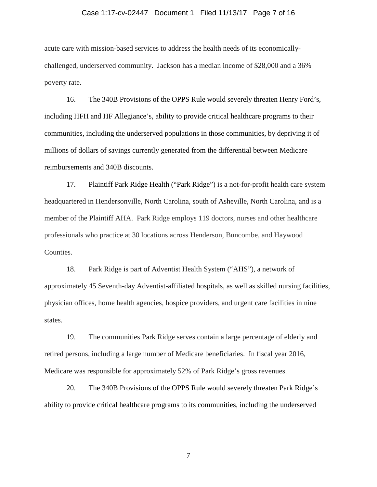#### Case 1:17-cv-02447 Document 1 Filed 11/13/17 Page 7 of 16

acute care with mission-based services to address the health needs of its economicallychallenged, underserved community. Jackson has a median income of \$28,000 and a 36% poverty rate.

16. The 340B Provisions of the OPPS Rule would severely threaten Henry Ford's, including HFH and HF Allegiance's, ability to provide critical healthcare programs to their communities, including the underserved populations in those communities, by depriving it of millions of dollars of savings currently generated from the differential between Medicare reimbursements and 340B discounts.

17. Plaintiff Park Ridge Health ("Park Ridge") is a not-for-profit health care system headquartered in Hendersonville, North Carolina, south of Asheville, North Carolina, and is a member of the Plaintiff AHA. Park Ridge employs 119 doctors, nurses and other healthcare professionals who practice at 30 locations across Henderson, Buncombe, and Haywood Counties.

18. Park Ridge is part of Adventist Health System ("AHS"), a network of approximately 45 Seventh-day Adventist-affiliated hospitals, as well as skilled nursing facilities, physician offices, home health agencies, hospice providers, and urgent care facilities in nine states.

19. The communities Park Ridge serves contain a large percentage of elderly and retired persons, including a large number of Medicare beneficiaries. In fiscal year 2016, Medicare was responsible for approximately 52% of Park Ridge's gross revenues.

20. The 340B Provisions of the OPPS Rule would severely threaten Park Ridge's ability to provide critical healthcare programs to its communities, including the underserved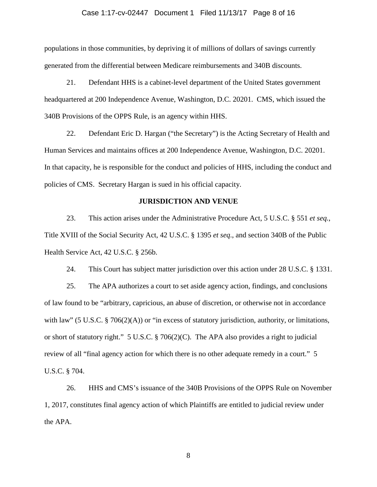#### Case 1:17-cv-02447 Document 1 Filed 11/13/17 Page 8 of 16

populations in those communities, by depriving it of millions of dollars of savings currently generated from the differential between Medicare reimbursements and 340B discounts.

21. Defendant HHS is a cabinet-level department of the United States government headquartered at 200 Independence Avenue, Washington, D.C. 20201. CMS, which issued the 340B Provisions of the OPPS Rule, is an agency within HHS.

22. Defendant Eric D. Hargan ("the Secretary") is the Acting Secretary of Health and Human Services and maintains offices at 200 Independence Avenue, Washington, D.C. 20201. In that capacity, he is responsible for the conduct and policies of HHS, including the conduct and policies of CMS. Secretary Hargan is sued in his official capacity.

#### **JURISDICTION AND VENUE**

23. This action arises under the Administrative Procedure Act, 5 U.S.C. § 551 *et seq.*, Title XVIII of the Social Security Act, 42 U.S.C. § 1395 *et seq*., and section 340B of the Public Health Service Act, 42 U.S.C. § 256b.

24. This Court has subject matter jurisdiction over this action under 28 U.S.C. § 1331.

25. The APA authorizes a court to set aside agency action, findings, and conclusions of law found to be "arbitrary, capricious, an abuse of discretion, or otherwise not in accordance with law" (5 U.S.C. § 706(2)(A)) or "in excess of statutory jurisdiction, authority, or limitations, or short of statutory right." 5 U.S.C. § 706(2)(C). The APA also provides a right to judicial review of all "final agency action for which there is no other adequate remedy in a court." 5 U.S.C. § 704.

26. HHS and CMS's issuance of the 340B Provisions of the OPPS Rule on November 1, 2017, constitutes final agency action of which Plaintiffs are entitled to judicial review under the APA.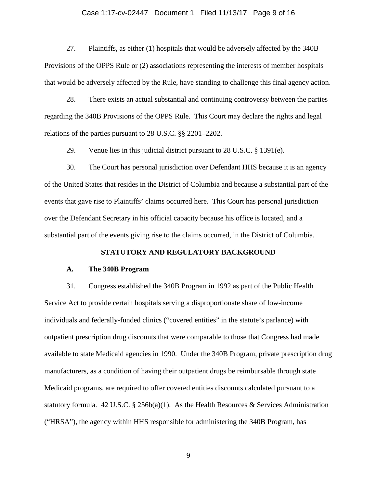#### Case 1:17-cv-02447 Document 1 Filed 11/13/17 Page 9 of 16

27. Plaintiffs, as either (1) hospitals that would be adversely affected by the 340B Provisions of the OPPS Rule or (2) associations representing the interests of member hospitals that would be adversely affected by the Rule, have standing to challenge this final agency action.

28. There exists an actual substantial and continuing controversy between the parties regarding the 340B Provisions of the OPPS Rule. This Court may declare the rights and legal relations of the parties pursuant to 28 U.S.C. §§ 2201–2202.

29. Venue lies in this judicial district pursuant to 28 U.S.C. § 1391(e).

30. The Court has personal jurisdiction over Defendant HHS because it is an agency of the United States that resides in the District of Columbia and because a substantial part of the events that gave rise to Plaintiffs' claims occurred here. This Court has personal jurisdiction over the Defendant Secretary in his official capacity because his office is located, and a substantial part of the events giving rise to the claims occurred, in the District of Columbia.

#### **STATUTORY AND REGULATORY BACKGROUND**

#### **A. The 340B Program**

31. Congress established the 340B Program in 1992 as part of the Public Health Service Act to provide certain hospitals serving a disproportionate share of low-income individuals and federally-funded clinics ("covered entities" in the statute's parlance) with outpatient prescription drug discounts that were comparable to those that Congress had made available to state Medicaid agencies in 1990. Under the 340B Program, private prescription drug manufacturers, as a condition of having their outpatient drugs be reimbursable through state Medicaid programs, are required to offer covered entities discounts calculated pursuant to a statutory formula. 42 U.S.C. § 256b(a)(1). As the Health Resources & Services Administration ("HRSA"), the agency within HHS responsible for administering the 340B Program, has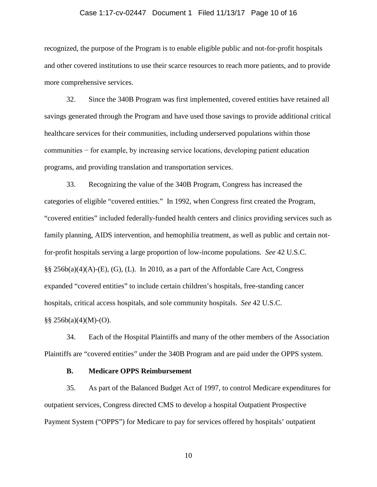#### Case 1:17-cv-02447 Document 1 Filed 11/13/17 Page 10 of 16

recognized, the purpose of the Program is to enable eligible public and not-for-profit hospitals and other covered institutions to use their scarce resources to reach more patients, and to provide more comprehensive services.

32. Since the 340B Program was first implemented, covered entities have retained all savings generated through the Program and have used those savings to provide additional critical healthcare services for their communities, including underserved populations within those communities − for example, by increasing service locations, developing patient education programs, and providing translation and transportation services.

33. Recognizing the value of the 340B Program, Congress has increased the categories of eligible "covered entities." In 1992, when Congress first created the Program, "covered entities" included federally-funded health centers and clinics providing services such as family planning, AIDS intervention, and hemophilia treatment, as well as public and certain notfor-profit hospitals serving a large proportion of low-income populations. *See* 42 U.S.C. §§ 256b(a)(4)(A)-(E), (G), (L). In 2010, as a part of the Affordable Care Act, Congress expanded "covered entities" to include certain children's hospitals, free-standing cancer hospitals, critical access hospitals, and sole community hospitals. *See* 42 U.S.C.  $\S\S 256b(a)(4)(M)-(O)$ .

34. Each of the Hospital Plaintiffs and many of the other members of the Association Plaintiffs are "covered entities" under the 340B Program and are paid under the OPPS system.

#### **B. Medicare OPPS Reimbursement**

35. As part of the Balanced Budget Act of 1997, to control Medicare expenditures for outpatient services, Congress directed CMS to develop a hospital Outpatient Prospective Payment System ("OPPS") for Medicare to pay for services offered by hospitals' outpatient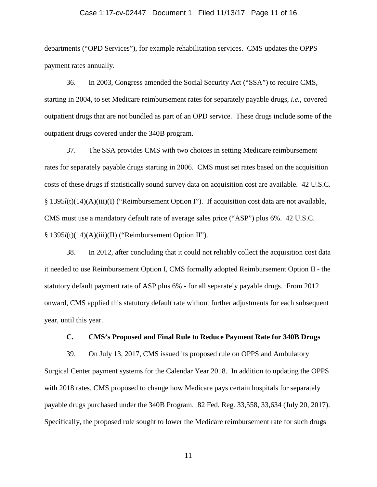#### Case 1:17-cv-02447 Document 1 Filed 11/13/17 Page 11 of 16

departments ("OPD Services"), for example rehabilitation services. CMS updates the OPPS payment rates annually.

36. In 2003, Congress amended the Social Security Act ("SSA") to require CMS, starting in 2004, to set Medicare reimbursement rates for separately payable drugs, *i.e.*, covered outpatient drugs that are not bundled as part of an OPD service. These drugs include some of the outpatient drugs covered under the 340B program.

37. The SSA provides CMS with two choices in setting Medicare reimbursement rates for separately payable drugs starting in 2006. CMS must set rates based on the acquisition costs of these drugs if statistically sound survey data on acquisition cost are available. 42 U.S.C. § 1395*l*(t)(14)(A)(iii)(I) ("Reimbursement Option I"). If acquisition cost data are not available, CMS must use a mandatory default rate of average sales price ("ASP") plus 6%. 42 U.S.C. § 1395*l*(t)(14)(A)(iii)(II) ("Reimbursement Option II").

38. In 2012, after concluding that it could not reliably collect the acquisition cost data it needed to use Reimbursement Option I, CMS formally adopted Reimbursement Option II - the statutory default payment rate of ASP plus 6% - for all separately payable drugs. From 2012 onward, CMS applied this statutory default rate without further adjustments for each subsequent year, until this year.

### **C. CMS's Proposed and Final Rule to Reduce Payment Rate for 340B Drugs**

39. On July 13, 2017, CMS issued its proposed rule on OPPS and Ambulatory Surgical Center payment systems for the Calendar Year 2018. In addition to updating the OPPS with 2018 rates, CMS proposed to change how Medicare pays certain hospitals for separately payable drugs purchased under the 340B Program. 82 Fed. Reg. 33,558, 33,634 (July 20, 2017). Specifically, the proposed rule sought to lower the Medicare reimbursement rate for such drugs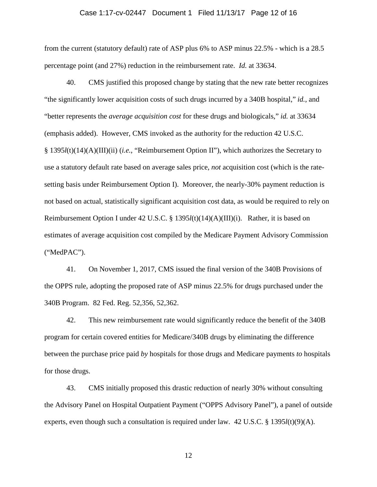#### Case 1:17-cv-02447 Document 1 Filed 11/13/17 Page 12 of 16

from the current (statutory default) rate of ASP plus 6% to ASP minus 22.5% - which is a 28.5 percentage point (and 27%) reduction in the reimbursement rate. *Id.* at 33634.

40. CMS justified this proposed change by stating that the new rate better recognizes "the significantly lower acquisition costs of such drugs incurred by a 340B hospital," *id.*, and "better represents the *average acquisition cost* for these drugs and biologicals," *id.* at 33634 (emphasis added). However, CMS invoked as the authority for the reduction 42 U.S.C. § 1395*l*(t)(14)(A)(III)(ii) (*i.e.*, "Reimbursement Option II"), which authorizes the Secretary to use a statutory default rate based on average sales price, *not* acquisition cost (which is the ratesetting basis under Reimbursement Option I). Moreover, the nearly-30% payment reduction is not based on actual, statistically significant acquisition cost data, as would be required to rely on Reimbursement Option I under 42 U.S.C. § 1395*l*(t)(14)(A)(III)(i). Rather, it is based on estimates of average acquisition cost compiled by the Medicare Payment Advisory Commission ("MedPAC").

41. On November 1, 2017, CMS issued the final version of the 340B Provisions of the OPPS rule, adopting the proposed rate of ASP minus 22.5% for drugs purchased under the 340B Program. 82 Fed. Reg. 52,356, 52,362.

42. This new reimbursement rate would significantly reduce the benefit of the 340B program for certain covered entities for Medicare/340B drugs by eliminating the difference between the purchase price paid *by* hospitals for those drugs and Medicare payments *to* hospitals for those drugs.

43. CMS initially proposed this drastic reduction of nearly 30% without consulting the Advisory Panel on Hospital Outpatient Payment ("OPPS Advisory Panel"), a panel of outside experts, even though such a consultation is required under law.  $42 \text{ U.S.C.}$  §  $1395l(t)(9)(\text{A})$ .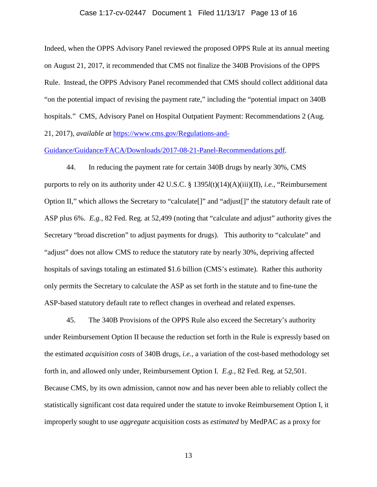#### Case 1:17-cv-02447 Document 1 Filed 11/13/17 Page 13 of 16

Indeed, when the OPPS Advisory Panel reviewed the proposed OPPS Rule at its annual meeting on August 21, 2017, it recommended that CMS not finalize the 340B Provisions of the OPPS Rule. Instead, the OPPS Advisory Panel recommended that CMS should collect additional data "on the potential impact of revising the payment rate," including the "potential impact on 340B hospitals." CMS, Advisory Panel on Hospital Outpatient Payment: Recommendations 2 (Aug. 21, 2017), *available at* https://www.cms.gov/Regulations-and-

Guidance/Guidance/FACA/Downloads/2017-08-21-Panel-Recommendations.pdf.

44. In reducing the payment rate for certain 340B drugs by nearly 30%, CMS purports to rely on its authority under 42 U.S.C. § 1395*l*(t)(14)(A)(iii)(II), *i.e.*, "Reimbursement Option II," which allows the Secretary to "calculate[]" and "adjust[]" the statutory default rate of ASP plus 6%. *E.g.*, 82 Fed. Reg. at 52,499 (noting that "calculate and adjust" authority gives the Secretary "broad discretion" to adjust payments for drugs). This authority to "calculate" and "adjust" does not allow CMS to reduce the statutory rate by nearly 30%, depriving affected hospitals of savings totaling an estimated \$1.6 billion (CMS's estimate). Rather this authority only permits the Secretary to calculate the ASP as set forth in the statute and to fine-tune the ASP-based statutory default rate to reflect changes in overhead and related expenses.

45. The 340B Provisions of the OPPS Rule also exceed the Secretary's authority under Reimbursement Option II because the reduction set forth in the Rule is expressly based on the estimated *acquisition costs* of 340B drugs, *i.e.*, a variation of the cost-based methodology set forth in, and allowed only under, Reimbursement Option I. *E.g.,* 82 Fed. Reg. at 52,501. Because CMS, by its own admission, cannot now and has never been able to reliably collect the statistically significant cost data required under the statute to invoke Reimbursement Option I, it improperly sought to use *aggregate* acquisition costs as *estimated* by MedPAC as a proxy for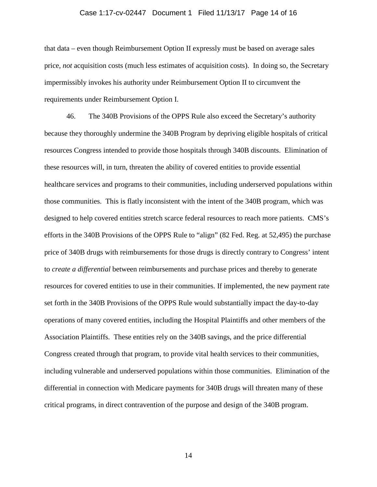#### Case 1:17-cv-02447 Document 1 Filed 11/13/17 Page 14 of 16

that data – even though Reimbursement Option II expressly must be based on average sales price, *not* acquisition costs (much less estimates of acquisition costs). In doing so, the Secretary impermissibly invokes his authority under Reimbursement Option II to circumvent the requirements under Reimbursement Option I.

46. The 340B Provisions of the OPPS Rule also exceed the Secretary's authority because they thoroughly undermine the 340B Program by depriving eligible hospitals of critical resources Congress intended to provide those hospitals through 340B discounts. Elimination of these resources will, in turn, threaten the ability of covered entities to provide essential healthcare services and programs to their communities, including underserved populations within those communities. This is flatly inconsistent with the intent of the 340B program, which was designed to help covered entities stretch scarce federal resources to reach more patients. CMS's efforts in the 340B Provisions of the OPPS Rule to "align" (82 Fed. Reg. at 52,495) the purchase price of 340B drugs with reimbursements for those drugs is directly contrary to Congress' intent to *create a differential* between reimbursements and purchase prices and thereby to generate resources for covered entities to use in their communities. If implemented, the new payment rate set forth in the 340B Provisions of the OPPS Rule would substantially impact the day-to-day operations of many covered entities, including the Hospital Plaintiffs and other members of the Association Plaintiffs. These entities rely on the 340B savings, and the price differential Congress created through that program, to provide vital health services to their communities, including vulnerable and underserved populations within those communities. Elimination of the differential in connection with Medicare payments for 340B drugs will threaten many of these critical programs, in direct contravention of the purpose and design of the 340B program.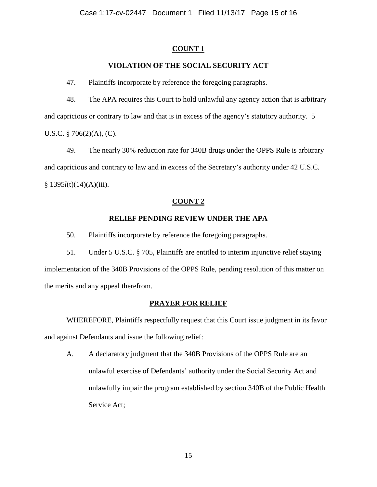### **COUNT 1**

## **VIOLATION OF THE SOCIAL SECURITY ACT**

47. Plaintiffs incorporate by reference the foregoing paragraphs.

48. The APA requires this Court to hold unlawful any agency action that is arbitrary and capricious or contrary to law and that is in excess of the agency's statutory authority. 5 U.S.C. § 706(2)(A), (C).

49. The nearly 30% reduction rate for 340B drugs under the OPPS Rule is arbitrary and capricious and contrary to law and in excess of the Secretary's authority under 42 U.S.C. § 1395*l*(t)(14)(A)(iii).

### **COUNT 2**

### **RELIEF PENDING REVIEW UNDER THE APA**

50. Plaintiffs incorporate by reference the foregoing paragraphs.

51. Under 5 U.S.C. § 705, Plaintiffs are entitled to interim injunctive relief staying implementation of the 340B Provisions of the OPPS Rule, pending resolution of this matter on the merits and any appeal therefrom.

### **PRAYER FOR RELIEF**

WHEREFORE, Plaintiffs respectfully request that this Court issue judgment in its favor and against Defendants and issue the following relief:

A. A declaratory judgment that the 340B Provisions of the OPPS Rule are an unlawful exercise of Defendants' authority under the Social Security Act and unlawfully impair the program established by section 340B of the Public Health Service Act;